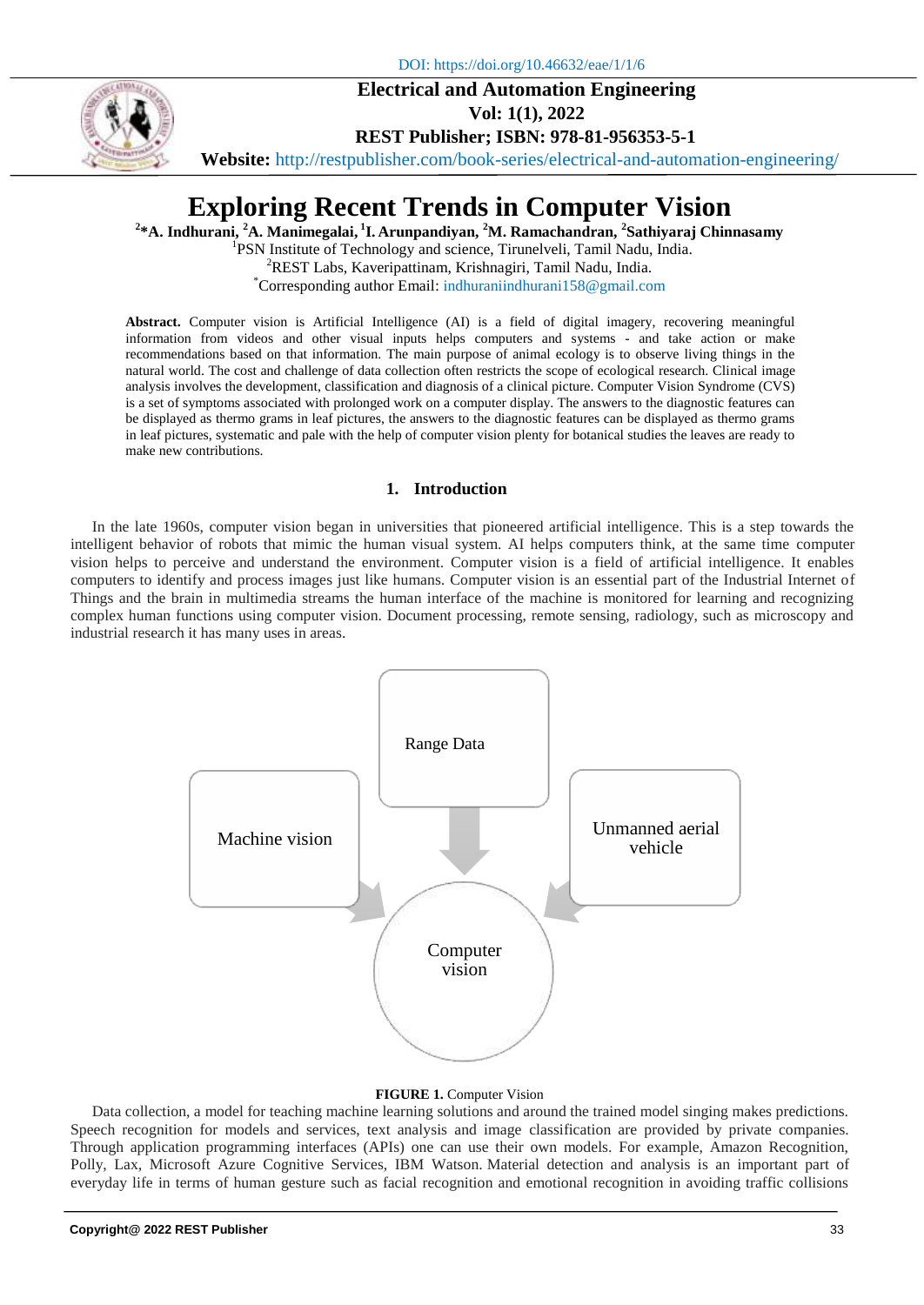DOI: https://doi.org/10.46632/eae/1/1/6

## **Electrical and Automation Engineering**



**Vol: 1(1), 2022**

**REST Publisher; ISBN: 978-81-956353-5-1**

**Website:** http://restpublisher.com/book-series/electrical-and-automation-engineering/

# **Exploring Recent Trends in Computer Vision**

**2 \*A. Indhurani, <sup>2</sup>A. Manimegalai, 1 I. Arunpandiyan, <sup>2</sup>M. Ramachandran, <sup>2</sup> Sathiyaraj Chinnasamy**

<sup>1</sup>PSN Institute of Technology and science, Tirunelveli, Tamil Nadu, India. <sup>2</sup>REST Labs, Kaveripattinam, Krishnagiri, Tamil Nadu, India. \*Corresponding author Email: indhuraniindhurani158@gmail.com

**Abstract.** Computer vision is Artificial Intelligence (AI) is a field of digital imagery, recovering meaningful information from videos and other visual inputs helps computers and systems - and take action or make recommendations based on that information. The main purpose of animal ecology is to observe living things in the natural world. The cost and challenge of data collection often restricts the scope of ecological research. Clinical image analysis involves the development, classification and diagnosis of a clinical picture. Computer Vision Syndrome (CVS) is a set of symptoms associated with prolonged work on a computer display. The answers to the diagnostic features can be displayed as thermo grams in leaf pictures, the answers to the diagnostic features can be displayed as thermo grams in leaf pictures, systematic and pale with the help of computer vision plenty for botanical studies the leaves are ready to make new contributions.

## **1. Introduction**

In the late 1960s, computer vision began in universities that pioneered artificial intelligence. This is a step towards the intelligent behavior of robots that mimic the human visual system. AI helps computers think, at the same time computer vision helps to perceive and understand the environment. Computer vision is a field of artificial intelligence. It enables computers to identify and process images just like humans. Computer vision is an essential part of the Industrial Internet of Things and the brain in multimedia streams the human interface of the machine is monitored for learning and recognizing complex human functions using computer vision. Document processing, remote sensing, radiology, such as microscopy and industrial research it has many uses in areas.



### **FIGURE 1.** Computer Vision

Data collection, a model for teaching machine learning solutions and around the trained model singing makes predictions. Speech recognition for models and services, text analysis and image classification are provided by private companies. Through application programming interfaces (APIs) one can use their own models. For example, Amazon Recognition, Polly, Lax, Microsoft Azure Cognitive Services, IBM Watson. Material detection and analysis is an important part of everyday life in terms of human gesture such as facial recognition and emotional recognition in avoiding traffic collisions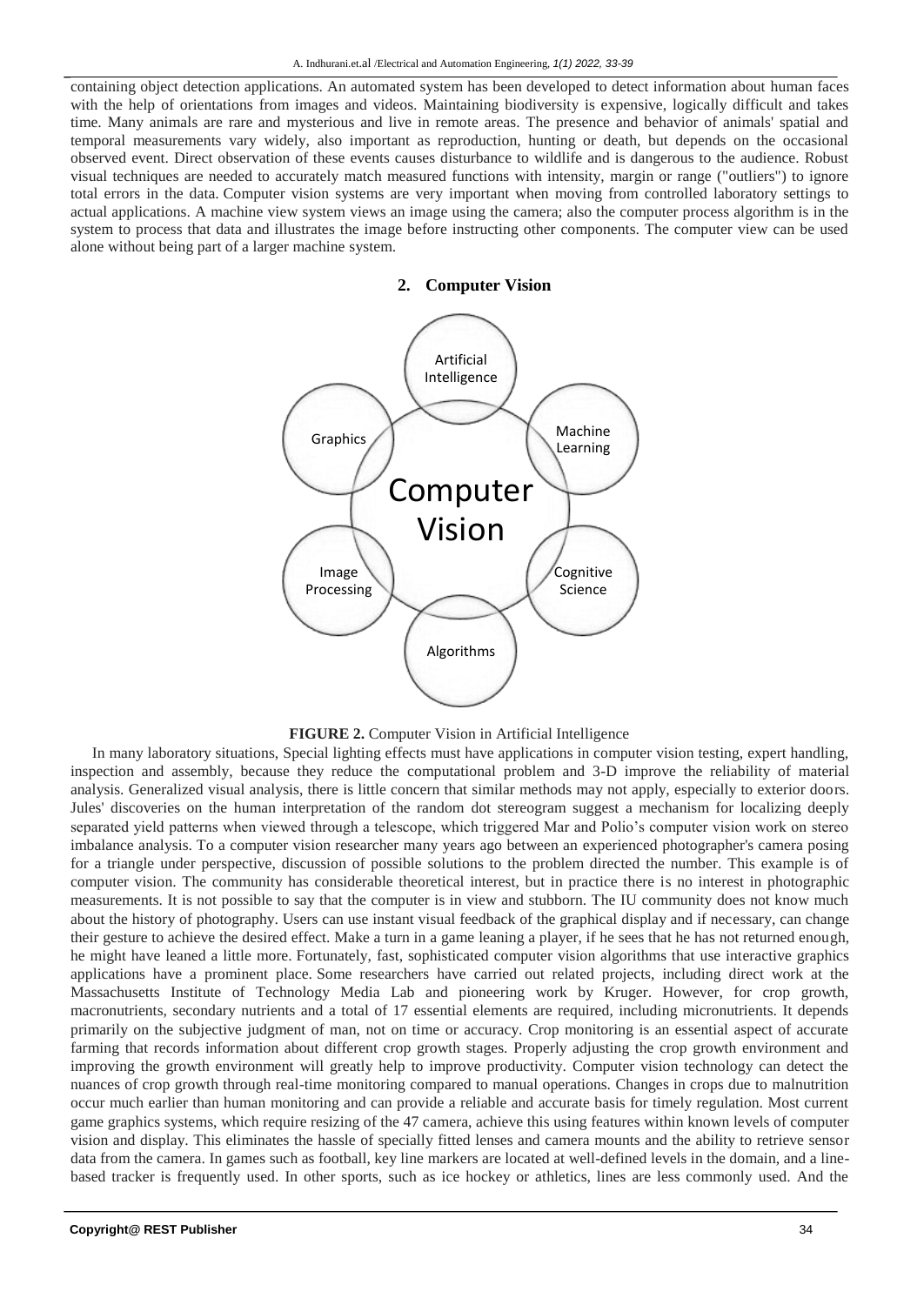containing object detection applications. An automated system has been developed to detect information about human faces with the help of orientations from images and videos. Maintaining biodiversity is expensive, logically difficult and takes time. Many animals are rare and mysterious and live in remote areas. The presence and behavior of animals' spatial and temporal measurements vary widely, also important as reproduction, hunting or death, but depends on the occasional observed event. Direct observation of these events causes disturbance to wildlife and is dangerous to the audience. Robust visual techniques are needed to accurately match measured functions with intensity, margin or range ("outliers") to ignore total errors in the data. Computer vision systems are very important when moving from controlled laboratory settings to actual applications. A machine view system views an image using the camera; also the computer process algorithm is in the system to process that data and illustrates the image before instructing other components. The computer view can be used alone without being part of a larger machine system.

**2. Computer Vision**





In many laboratory situations, Special lighting effects must have applications in computer vision testing, expert handling, inspection and assembly, because they reduce the computational problem and 3-D improve the reliability of material analysis. Generalized visual analysis, there is little concern that similar methods may not apply, especially to exterior doors. Jules' discoveries on the human interpretation of the random dot stereogram suggest a mechanism for localizing deeply separated yield patterns when viewed through a telescope, which triggered Mar and Polio's computer vision work on stereo imbalance analysis. To a computer vision researcher many years ago between an experienced photographer's camera posing for a triangle under perspective, discussion of possible solutions to the problem directed the number. This example is of computer vision. The community has considerable theoretical interest, but in practice there is no interest in photographic measurements. It is not possible to say that the computer is in view and stubborn. The IU community does not know much about the history of photography. Users can use instant visual feedback of the graphical display and if necessary, can change their gesture to achieve the desired effect. Make a turn in a game leaning a player, if he sees that he has not returned enough, he might have leaned a little more. Fortunately, fast, sophisticated computer vision algorithms that use interactive graphics applications have a prominent place. Some researchers have carried out related projects, including direct work at the Massachusetts Institute of Technology Media Lab and pioneering work by Kruger. However, for crop growth, macronutrients, secondary nutrients and a total of 17 essential elements are required, including micronutrients. It depends primarily on the subjective judgment of man, not on time or accuracy. Crop monitoring is an essential aspect of accurate farming that records information about different crop growth stages. Properly adjusting the crop growth environment and improving the growth environment will greatly help to improve productivity. Computer vision technology can detect the nuances of crop growth through real-time monitoring compared to manual operations. Changes in crops due to malnutrition occur much earlier than human monitoring and can provide a reliable and accurate basis for timely regulation. Most current game graphics systems, which require resizing of the 47 camera, achieve this using features within known levels of computer vision and display. This eliminates the hassle of specially fitted lenses and camera mounts and the ability to retrieve sensor data from the camera. In games such as football, key line markers are located at well-defined levels in the domain, and a linebased tracker is frequently used. In other sports, such as ice hockey or athletics, lines are less commonly used. And the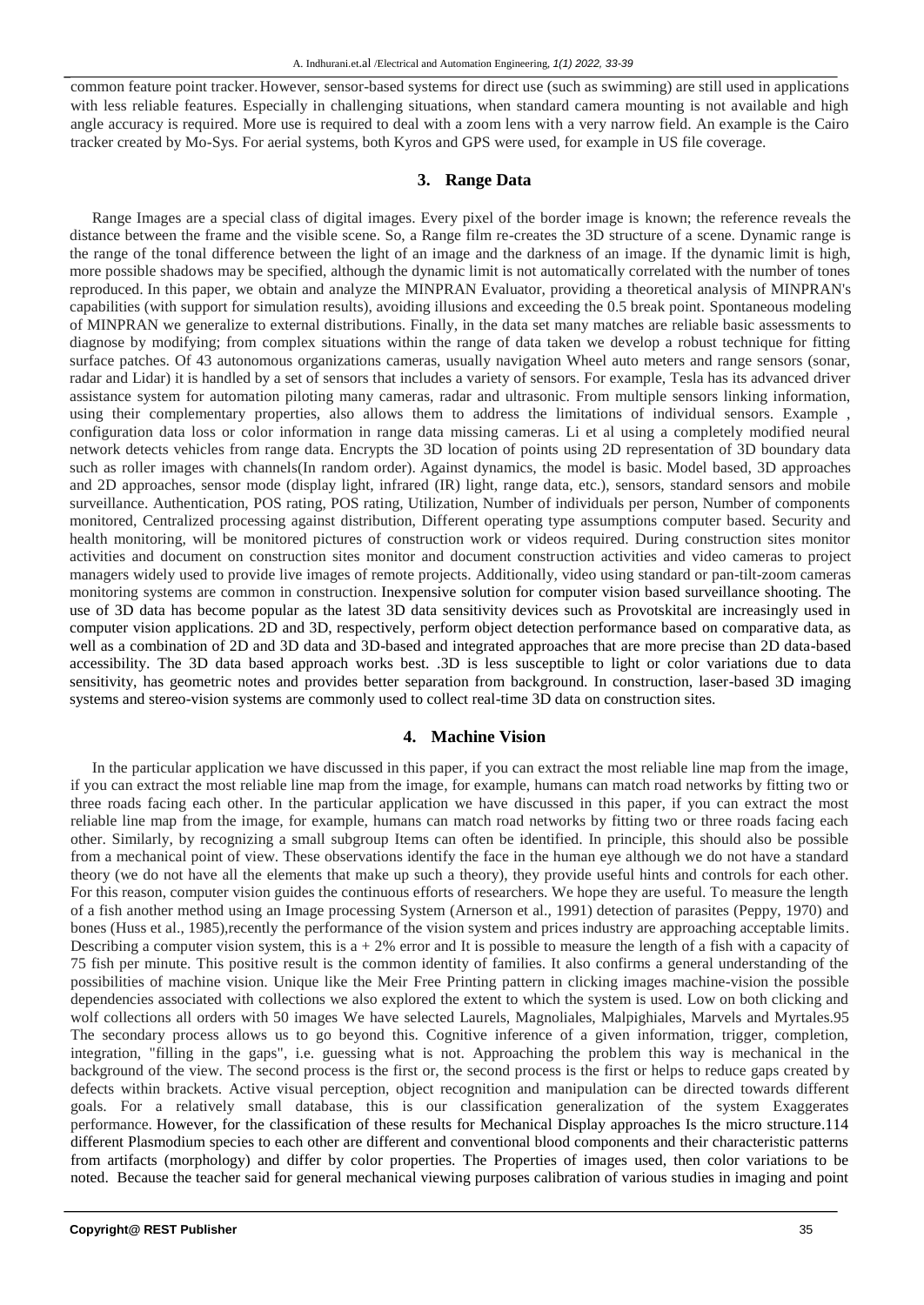common feature point tracker.However, sensor-based systems for direct use (such as swimming) are still used in applications with less reliable features. Especially in challenging situations, when standard camera mounting is not available and high angle accuracy is required. More use is required to deal with a zoom lens with a very narrow field. An example is the Cairo tracker created by Mo-Sys. For aerial systems, both Kyros and GPS were used, for example in US file coverage.

#### **3. Range Data**

Range Images are a special class of digital images. Every pixel of the border image is known; the reference reveals the distance between the frame and the visible scene. So, a Range film re-creates the 3D structure of a scene. Dynamic range is the range of the tonal difference between the light of an image and the darkness of an image. If the dynamic limit is high, more possible shadows may be specified, although the dynamic limit is not automatically correlated with the number of tones reproduced. In this paper, we obtain and analyze the MINPRAN Evaluator, providing a theoretical analysis of MINPRAN's capabilities (with support for simulation results), avoiding illusions and exceeding the 0.5 break point. Spontaneous modeling of MINPRAN we generalize to external distributions. Finally, in the data set many matches are reliable basic assessments to diagnose by modifying; from complex situations within the range of data taken we develop a robust technique for fitting surface patches. Of 43 autonomous organizations cameras, usually navigation Wheel auto meters and range sensors (sonar, radar and Lidar) it is handled by a set of sensors that includes a variety of sensors. For example, Tesla has its advanced driver assistance system for automation piloting many cameras, radar and ultrasonic. From multiple sensors linking information, using their complementary properties, also allows them to address the limitations of individual sensors. Example , configuration data loss or color information in range data missing cameras. Li et al using a completely modified neural network detects vehicles from range data. Encrypts the 3D location of points using 2D representation of 3D boundary data such as roller images with channels(In random order). Against dynamics, the model is basic. Model based, 3D approaches and 2D approaches, sensor mode (display light, infrared (IR) light, range data, etc.), sensors, standard sensors and mobile surveillance. Authentication, POS rating, POS rating, Utilization, Number of individuals per person, Number of components monitored, Centralized processing against distribution, Different operating type assumptions computer based. Security and health monitoring, will be monitored pictures of construction work or videos required. During construction sites monitor activities and document on construction sites monitor and document construction activities and video cameras to project managers widely used to provide live images of remote projects. Additionally, video using standard or pan-tilt-zoom cameras monitoring systems are common in construction. Inexpensive solution for computer vision based surveillance shooting. The use of 3D data has become popular as the latest 3D data sensitivity devices such as Provotskital are increasingly used in computer vision applications. 2D and 3D, respectively, perform object detection performance based on comparative data, as well as a combination of 2D and 3D data and 3D-based and integrated approaches that are more precise than 2D data-based accessibility. The 3D data based approach works best. .3D is less susceptible to light or color variations due to data sensitivity, has geometric notes and provides better separation from background. In construction, laser-based 3D imaging systems and stereo-vision systems are commonly used to collect real-time 3D data on construction sites.

#### **4. Machine Vision**

In the particular application we have discussed in this paper, if you can extract the most reliable line map from the image, if you can extract the most reliable line map from the image, for example, humans can match road networks by fitting two or three roads facing each other. In the particular application we have discussed in this paper, if you can extract the most reliable line map from the image, for example, humans can match road networks by fitting two or three roads facing each other. Similarly, by recognizing a small subgroup Items can often be identified. In principle, this should also be possible from a mechanical point of view. These observations identify the face in the human eye although we do not have a standard theory (we do not have all the elements that make up such a theory), they provide useful hints and controls for each other. For this reason, computer vision guides the continuous efforts of researchers. We hope they are useful. To measure the length of a fish another method using an Image processing System (Arnerson et al., 1991) detection of parasites (Peppy, 1970) and bones (Huss et al., 1985), recently the performance of the vision system and prices industry are approaching acceptable limits. Describing a computer vision system, this is  $a + 2\%$  error and It is possible to measure the length of a fish with a capacity of 75 fish per minute. This positive result is the common identity of families. It also confirms a general understanding of the possibilities of machine vision. Unique like the Meir Free Printing pattern in clicking images machine-vision the possible dependencies associated with collections we also explored the extent to which the system is used. Low on both clicking and wolf collections all orders with 50 images We have selected Laurels, Magnoliales, Malpighiales, Marvels and Myrtales.95 The secondary process allows us to go beyond this. Cognitive inference of a given information, trigger, completion, integration, "filling in the gaps", i.e. guessing what is not. Approaching the problem this way is mechanical in the background of the view. The second process is the first or, the second process is the first or helps to reduce gaps created by defects within brackets. Active visual perception, object recognition and manipulation can be directed towards different goals. For a relatively small database, this is our classification generalization of the system Exaggerates performance. However, for the classification of these results for Mechanical Display approaches Is the micro structure.114 different Plasmodium species to each other are different and conventional blood components and their characteristic patterns from artifacts (morphology) and differ by color properties. The Properties of images used, then color variations to be noted. Because the teacher said for general mechanical viewing purposes calibration of various studies in imaging and point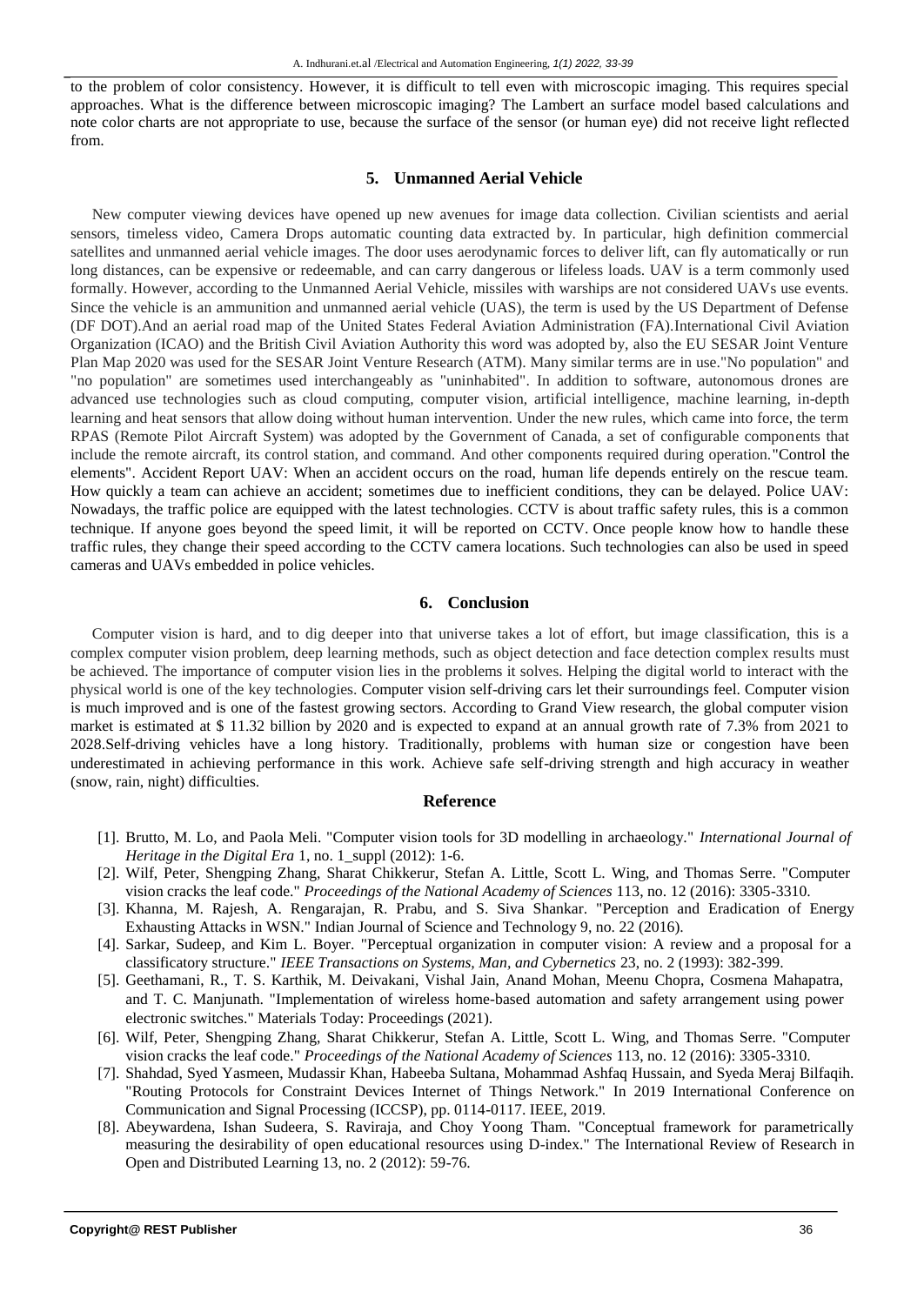to the problem of color consistency. However, it is difficult to tell even with microscopic imaging. This requires special approaches. What is the difference between microscopic imaging? The Lambert an surface model based calculations and note color charts are not appropriate to use, because the surface of the sensor (or human eye) did not receive light reflected from.

#### **5. Unmanned Aerial Vehicle**

New computer viewing devices have opened up new avenues for image data collection. Civilian scientists and aerial sensors, timeless video, Camera Drops automatic counting data extracted by. In particular, high definition commercial satellites and unmanned aerial vehicle images. The door uses aerodynamic forces to deliver lift, can fly automatically or run long distances, can be expensive or redeemable, and can carry dangerous or lifeless loads. UAV is a term commonly used formally. However, according to the Unmanned Aerial Vehicle, missiles with warships are not considered UAVs use events. Since the vehicle is an ammunition and unmanned aerial vehicle (UAS), the term is used by the US Department of Defense (DF DOT).And an aerial road map of the United States Federal Aviation Administration (FA).International Civil Aviation Organization (ICAO) and the British Civil Aviation Authority this word was adopted by, also the EU SESAR Joint Venture Plan Map 2020 was used for the SESAR Joint Venture Research (ATM). Many similar terms are in use."No population" and "no population" are sometimes used interchangeably as "uninhabited". In addition to software, autonomous drones are advanced use technologies such as cloud computing, computer vision, artificial intelligence, machine learning, in-depth learning and heat sensors that allow doing without human intervention. Under the new rules, which came into force, the term RPAS (Remote Pilot Aircraft System) was adopted by the Government of Canada, a set of configurable components that include the remote aircraft, its control station, and command. And other components required during operation."Control the elements". Accident Report UAV: When an accident occurs on the road, human life depends entirely on the rescue team. How quickly a team can achieve an accident; sometimes due to inefficient conditions, they can be delayed. Police UAV: Nowadays, the traffic police are equipped with the latest technologies. CCTV is about traffic safety rules, this is a common technique. If anyone goes beyond the speed limit, it will be reported on CCTV. Once people know how to handle these traffic rules, they change their speed according to the CCTV camera locations. Such technologies can also be used in speed cameras and UAVs embedded in police vehicles.

#### **6. Conclusion**

Computer vision is hard, and to dig deeper into that universe takes a lot of effort, but image classification, this is a complex computer vision problem, deep learning methods, such as object detection and face detection complex results must be achieved. The importance of computer vision lies in the problems it solves. Helping the digital world to interact with the physical world is one of the key technologies. Computer vision self-driving cars let their surroundings feel. Computer vision is much improved and is one of the fastest growing sectors. According to Grand View research, the global computer vision market is estimated at \$ 11.32 billion by 2020 and is expected to expand at an annual growth rate of 7.3% from 2021 to 2028.Self-driving vehicles have a long history. Traditionally, problems with human size or congestion have been underestimated in achieving performance in this work. Achieve safe self-driving strength and high accuracy in weather (snow, rain, night) difficulties.

#### **Reference**

- [1]. Brutto, M. Lo, and Paola Meli. "Computer vision tools for 3D modelling in archaeology." *International Journal of Heritage in the Digital Era* 1, no. 1\_suppl (2012): 1-6.
- [2]. Wilf, Peter, Shengping Zhang, Sharat Chikkerur, Stefan A. Little, Scott L. Wing, and Thomas Serre. "Computer vision cracks the leaf code." *Proceedings of the National Academy of Sciences* 113, no. 12 (2016): 3305-3310.
- [3]. Khanna, M. Rajesh, A. Rengarajan, R. Prabu, and S. Siva Shankar. "Perception and Eradication of Energy Exhausting Attacks in WSN." Indian Journal of Science and Technology 9, no. 22 (2016).
- [4]. Sarkar, Sudeep, and Kim L. Boyer. "Perceptual organization in computer vision: A review and a proposal for a classificatory structure." *IEEE Transactions on Systems, Man, and Cybernetics* 23, no. 2 (1993): 382-399.
- [5]. Geethamani, R., T. S. Karthik, M. Deivakani, Vishal Jain, Anand Mohan, Meenu Chopra, Cosmena Mahapatra, and T. C. Manjunath. "Implementation of wireless home-based automation and safety arrangement using power electronic switches." Materials Today: Proceedings (2021).
- [6]. Wilf, Peter, Shengping Zhang, Sharat Chikkerur, Stefan A. Little, Scott L. Wing, and Thomas Serre. "Computer vision cracks the leaf code." *Proceedings of the National Academy of Sciences* 113, no. 12 (2016): 3305-3310.
- [7]. Shahdad, Syed Yasmeen, Mudassir Khan, Habeeba Sultana, Mohammad Ashfaq Hussain, and Syeda Meraj Bilfaqih. "Routing Protocols for Constraint Devices Internet of Things Network." In 2019 International Conference on Communication and Signal Processing (ICCSP), pp. 0114-0117. IEEE, 2019.
- [8]. Abeywardena, Ishan Sudeera, S. Raviraja, and Choy Yoong Tham. "Conceptual framework for parametrically measuring the desirability of open educational resources using D-index." The International Review of Research in Open and Distributed Learning 13, no. 2 (2012): 59-76.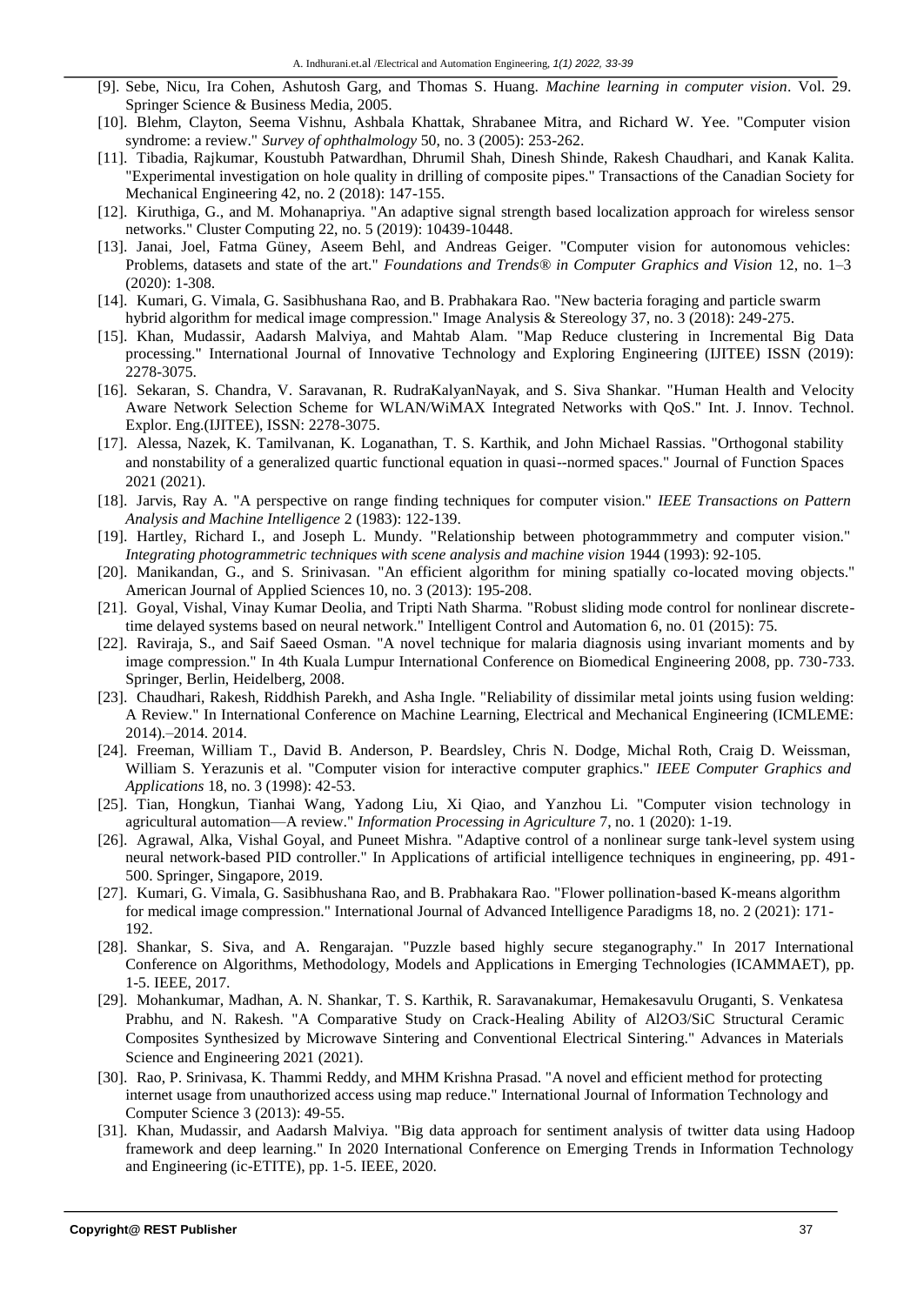- [9]. Sebe, Nicu, Ira Cohen, Ashutosh Garg, and Thomas S. Huang. *Machine learning in computer vision*. Vol. 29. Springer Science & Business Media, 2005.
- [10]. Blehm, Clayton, Seema Vishnu, Ashbala Khattak, Shrabanee Mitra, and Richard W. Yee. "Computer vision syndrome: a review." *Survey of ophthalmology* 50, no. 3 (2005): 253-262.
- [11]. Tibadia, Rajkumar, Koustubh Patwardhan, Dhrumil Shah, Dinesh Shinde, Rakesh Chaudhari, and Kanak Kalita. "Experimental investigation on hole quality in drilling of composite pipes." Transactions of the Canadian Society for Mechanical Engineering 42, no. 2 (2018): 147-155.
- [12]. Kiruthiga, G., and M. Mohanapriya. "An adaptive signal strength based localization approach for wireless sensor networks." Cluster Computing 22, no. 5 (2019): 10439-10448.
- [13]. Janai, Joel, Fatma Güney, Aseem Behl, and Andreas Geiger. "Computer vision for autonomous vehicles: Problems, datasets and state of the art." *Foundations and Trends® in Computer Graphics and Vision* 12, no. 1–3 (2020): 1-308.
- [14]. Kumari, G. Vimala, G. Sasibhushana Rao, and B. Prabhakara Rao. "New bacteria foraging and particle swarm hybrid algorithm for medical image compression." Image Analysis & Stereology 37, no. 3 (2018): 249-275.
- [15]. Khan, Mudassir, Aadarsh Malviya, and Mahtab Alam. "Map Reduce clustering in Incremental Big Data processing." International Journal of Innovative Technology and Exploring Engineering (IJITEE) ISSN (2019): 2278-3075.
- [16]. Sekaran, S. Chandra, V. Saravanan, R. RudraKalyanNayak, and S. Siva Shankar. "Human Health and Velocity Aware Network Selection Scheme for WLAN/WiMAX Integrated Networks with QoS." Int. J. Innov. Technol. Explor. Eng.(IJITEE), ISSN: 2278-3075.
- [17]. Alessa, Nazek, K. Tamilvanan, K. Loganathan, T. S. Karthik, and John Michael Rassias. "Orthogonal stability and nonstability of a generalized quartic functional equation in quasi--normed spaces." Journal of Function Spaces 2021 (2021).
- [18]. Jarvis, Ray A. "A perspective on range finding techniques for computer vision." *IEEE Transactions on Pattern Analysis and Machine Intelligence* 2 (1983): 122-139.
- [19]. Hartley, Richard I., and Joseph L. Mundy. "Relationship between photogrammmetry and computer vision." *Integrating photogrammetric techniques with scene analysis and machine vision* 1944 (1993): 92-105.
- [20]. Manikandan, G., and S. Srinivasan. "An efficient algorithm for mining spatially co-located moving objects." American Journal of Applied Sciences 10, no. 3 (2013): 195-208.
- [21]. Goyal, Vishal, Vinay Kumar Deolia, and Tripti Nath Sharma. "Robust sliding mode control for nonlinear discretetime delayed systems based on neural network." Intelligent Control and Automation 6, no. 01 (2015): 75.
- [22]. Raviraja, S., and Saif Saeed Osman. "A novel technique for malaria diagnosis using invariant moments and by image compression." In 4th Kuala Lumpur International Conference on Biomedical Engineering 2008, pp. 730-733. Springer, Berlin, Heidelberg, 2008.
- [23]. Chaudhari, Rakesh, Riddhish Parekh, and Asha Ingle. "Reliability of dissimilar metal joints using fusion welding: A Review." In International Conference on Machine Learning, Electrical and Mechanical Engineering (ICMLEME: 2014).–2014. 2014.
- [24]. Freeman, William T., David B. Anderson, P. Beardsley, Chris N. Dodge, Michal Roth, Craig D. Weissman, William S. Yerazunis et al. "Computer vision for interactive computer graphics." *IEEE Computer Graphics and Applications* 18, no. 3 (1998): 42-53.
- [25]. Tian, Hongkun, Tianhai Wang, Yadong Liu, Xi Qiao, and Yanzhou Li. "Computer vision technology in agricultural automation—A review." *Information Processing in Agriculture* 7, no. 1 (2020): 1-19.
- [26]. Agrawal, Alka, Vishal Goyal, and Puneet Mishra. "Adaptive control of a nonlinear surge tank-level system using neural network-based PID controller." In Applications of artificial intelligence techniques in engineering, pp. 491- 500. Springer, Singapore, 2019.
- [27]. Kumari, G. Vimala, G. Sasibhushana Rao, and B. Prabhakara Rao. "Flower pollination-based K-means algorithm for medical image compression." International Journal of Advanced Intelligence Paradigms 18, no. 2 (2021): 171- 192.
- [28]. Shankar, S. Siva, and A. Rengarajan. "Puzzle based highly secure steganography." In 2017 International Conference on Algorithms, Methodology, Models and Applications in Emerging Technologies (ICAMMAET), pp. 1-5. IEEE, 2017.
- [29]. Mohankumar, Madhan, A. N. Shankar, T. S. Karthik, R. Saravanakumar, Hemakesavulu Oruganti, S. Venkatesa Prabhu, and N. Rakesh. "A Comparative Study on Crack-Healing Ability of Al2O3/SiC Structural Ceramic Composites Synthesized by Microwave Sintering and Conventional Electrical Sintering." Advances in Materials Science and Engineering 2021 (2021).
- [30]. Rao, P. Srinivasa, K. Thammi Reddy, and MHM Krishna Prasad. "A novel and efficient method for protecting internet usage from unauthorized access using map reduce." International Journal of Information Technology and Computer Science 3 (2013): 49-55.
- [31]. Khan, Mudassir, and Aadarsh Malviya. "Big data approach for sentiment analysis of twitter data using Hadoop framework and deep learning." In 2020 International Conference on Emerging Trends in Information Technology and Engineering (ic-ETITE), pp. 1-5. IEEE, 2020.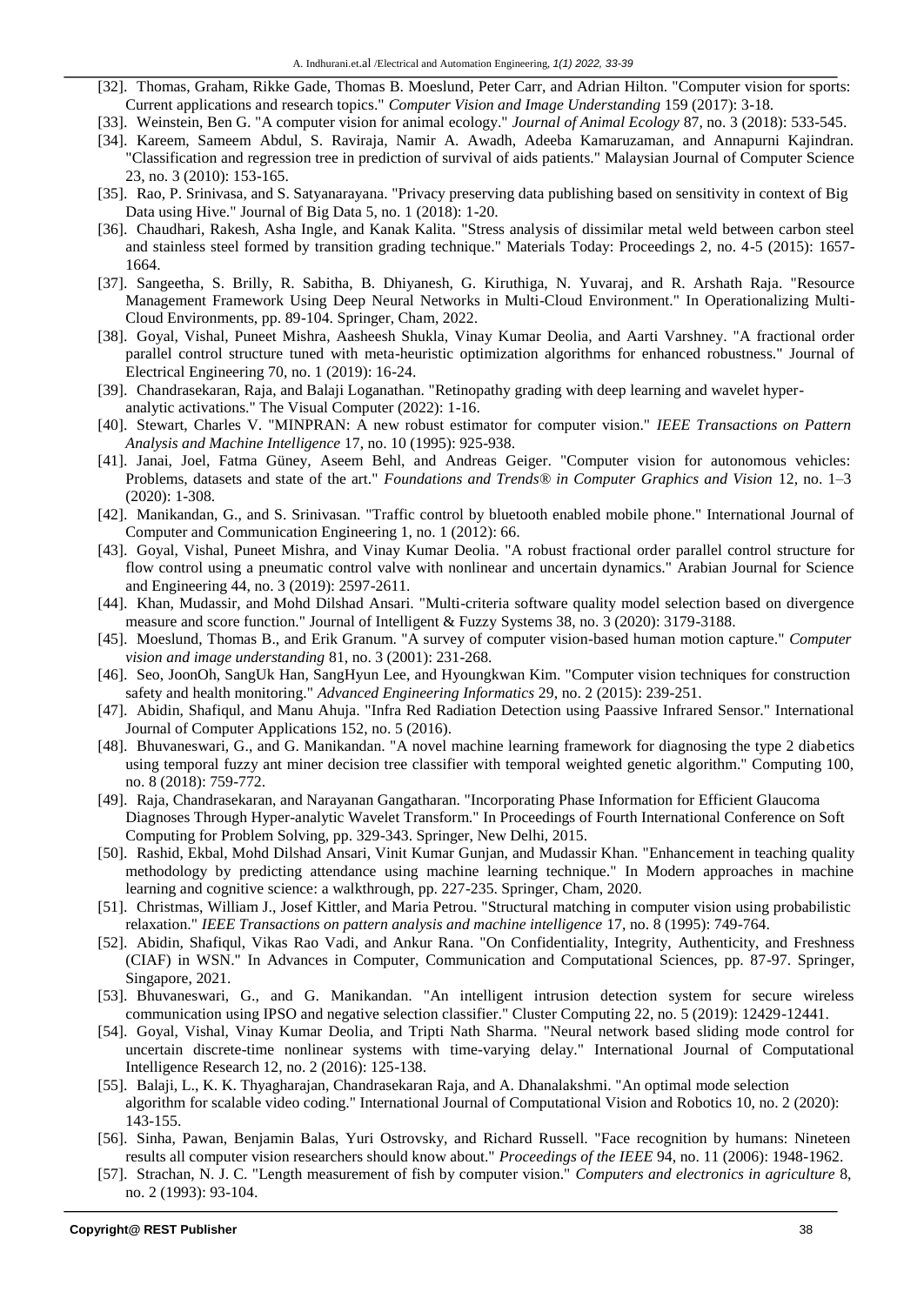- [32]. Thomas, Graham, Rikke Gade, Thomas B. Moeslund, Peter Carr, and Adrian Hilton. "Computer vision for sports: Current applications and research topics." *Computer Vision and Image Understanding* 159 (2017): 3-18.
- [33]. Weinstein, Ben G. "A computer vision for animal ecology." *Journal of Animal Ecology* 87, no. 3 (2018): 533-545.
- [34]. Kareem, Sameem Abdul, S. Raviraja, Namir A. Awadh, Adeeba Kamaruzaman, and Annapurni Kajindran. "Classification and regression tree in prediction of survival of aids patients." Malaysian Journal of Computer Science 23, no. 3 (2010): 153-165.
- [35]. Rao, P. Srinivasa, and S. Satyanarayana. "Privacy preserving data publishing based on sensitivity in context of Big Data using Hive." Journal of Big Data 5, no. 1 (2018): 1-20.
- [36]. Chaudhari, Rakesh, Asha Ingle, and Kanak Kalita. "Stress analysis of dissimilar metal weld between carbon steel and stainless steel formed by transition grading technique." Materials Today: Proceedings 2, no. 4-5 (2015): 1657- 1664.
- [37]. Sangeetha, S. Brilly, R. Sabitha, B. Dhiyanesh, G. Kiruthiga, N. Yuvaraj, and R. Arshath Raja. "Resource Management Framework Using Deep Neural Networks in Multi-Cloud Environment." In Operationalizing Multi-Cloud Environments, pp. 89-104. Springer, Cham, 2022.
- [38]. Goyal, Vishal, Puneet Mishra, Aasheesh Shukla, Vinay Kumar Deolia, and Aarti Varshney. "A fractional order parallel control structure tuned with meta-heuristic optimization algorithms for enhanced robustness." Journal of Electrical Engineering 70, no. 1 (2019): 16-24.
- [39]. Chandrasekaran, Raja, and Balaji Loganathan. "Retinopathy grading with deep learning and wavelet hyperanalytic activations." The Visual Computer (2022): 1-16.
- [40]. Stewart, Charles V. "MINPRAN: A new robust estimator for computer vision." *IEEE Transactions on Pattern Analysis and Machine Intelligence* 17, no. 10 (1995): 925-938.
- [41]. Janai, Joel, Fatma Güney, Aseem Behl, and Andreas Geiger. "Computer vision for autonomous vehicles: Problems, datasets and state of the art." *Foundations and Trends® in Computer Graphics and Vision* 12, no. 1–3 (2020): 1-308.
- [42]. Manikandan, G., and S. Srinivasan. "Traffic control by bluetooth enabled mobile phone." International Journal of Computer and Communication Engineering 1, no. 1 (2012): 66.
- [43]. Goyal, Vishal, Puneet Mishra, and Vinay Kumar Deolia. "A robust fractional order parallel control structure for flow control using a pneumatic control valve with nonlinear and uncertain dynamics." Arabian Journal for Science and Engineering 44, no. 3 (2019): 2597-2611.
- [44]. Khan, Mudassir, and Mohd Dilshad Ansari. "Multi-criteria software quality model selection based on divergence measure and score function." Journal of Intelligent & Fuzzy Systems 38, no. 3 (2020): 3179-3188.
- [45]. Moeslund, Thomas B., and Erik Granum. "A survey of computer vision-based human motion capture." *Computer vision and image understanding* 81, no. 3 (2001): 231-268.
- [46]. Seo, JoonOh, SangUk Han, SangHyun Lee, and Hyoungkwan Kim. "Computer vision techniques for construction safety and health monitoring." *Advanced Engineering Informatics* 29, no. 2 (2015): 239-251.
- [47]. Abidin, Shafiqul, and Manu Ahuja. "Infra Red Radiation Detection using Paassive Infrared Sensor." International Journal of Computer Applications 152, no. 5 (2016).
- [48]. Bhuvaneswari, G., and G. Manikandan. "A novel machine learning framework for diagnosing the type 2 diabetics using temporal fuzzy ant miner decision tree classifier with temporal weighted genetic algorithm." Computing 100, no. 8 (2018): 759-772.
- [49]. Raja, Chandrasekaran, and Narayanan Gangatharan. "Incorporating Phase Information for Efficient Glaucoma Diagnoses Through Hyper-analytic Wavelet Transform." In Proceedings of Fourth International Conference on Soft Computing for Problem Solving, pp. 329-343. Springer, New Delhi, 2015.
- [50]. Rashid, Ekbal, Mohd Dilshad Ansari, Vinit Kumar Gunjan, and Mudassir Khan. "Enhancement in teaching quality methodology by predicting attendance using machine learning technique." In Modern approaches in machine learning and cognitive science: a walkthrough, pp. 227-235. Springer, Cham, 2020.
- [51]. Christmas, William J., Josef Kittler, and Maria Petrou. "Structural matching in computer vision using probabilistic relaxation." *IEEE Transactions on pattern analysis and machine intelligence* 17, no. 8 (1995): 749-764.
- [52]. Abidin, Shafiqul, Vikas Rao Vadi, and Ankur Rana. "On Confidentiality, Integrity, Authenticity, and Freshness (CIAF) in WSN." In Advances in Computer, Communication and Computational Sciences, pp. 87-97. Springer, Singapore, 2021.
- [53]. Bhuvaneswari, G., and G. Manikandan. "An intelligent intrusion detection system for secure wireless communication using IPSO and negative selection classifier." Cluster Computing 22, no. 5 (2019): 12429-12441.
- [54]. Goyal, Vishal, Vinay Kumar Deolia, and Tripti Nath Sharma. "Neural network based sliding mode control for uncertain discrete-time nonlinear systems with time-varying delay." International Journal of Computational Intelligence Research 12, no. 2 (2016): 125-138.
- [55]. Balaji, L., K. K. Thyagharajan, Chandrasekaran Raja, and A. Dhanalakshmi. "An optimal mode selection algorithm for scalable video coding." International Journal of Computational Vision and Robotics 10, no. 2 (2020): 143-155.
- [56]. Sinha, Pawan, Benjamin Balas, Yuri Ostrovsky, and Richard Russell. "Face recognition by humans: Nineteen results all computer vision researchers should know about." *Proceedings of the IEEE* 94, no. 11 (2006): 1948-1962.
- [57]. Strachan, N. J. C. "Length measurement of fish by computer vision." *Computers and electronics in agriculture* 8, no. 2 (1993): 93-104.